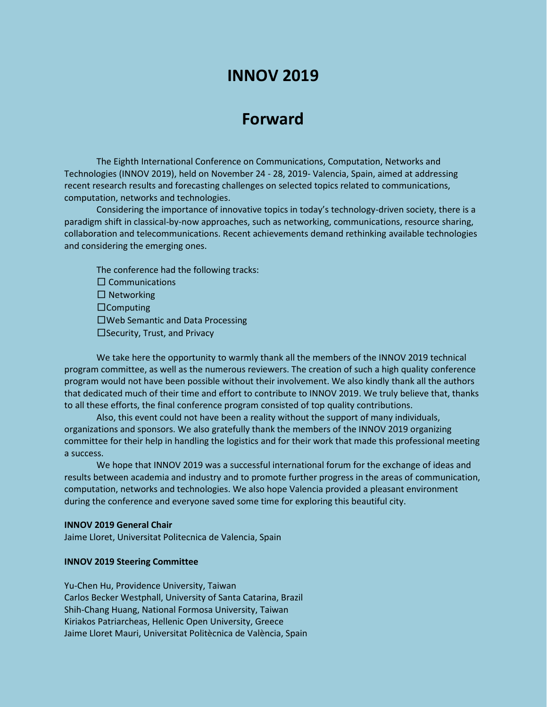# **INNOV 2019**

# **Forward**

The Eighth International Conference on Communications, Computation, Networks and Technologies (INNOV 2019), held on November 24 - 28, 2019- Valencia, Spain, aimed at addressing recent research results and forecasting challenges on selected topics related to communications, computation, networks and technologies.

Considering the importance of innovative topics in today's technology-driven society, there is a paradigm shift in classical-by-now approaches, such as networking, communications, resource sharing, collaboration and telecommunications. Recent achievements demand rethinking available technologies and considering the emerging ones.

The conference had the following tracks:  $\square$  Communications  $\square$  Networking  $\Box$ Computing Web Semantic and Data Processing  $\square$  Security, Trust, and Privacy

We take here the opportunity to warmly thank all the members of the INNOV 2019 technical program committee, as well as the numerous reviewers. The creation of such a high quality conference program would not have been possible without their involvement. We also kindly thank all the authors that dedicated much of their time and effort to contribute to INNOV 2019. We truly believe that, thanks to all these efforts, the final conference program consisted of top quality contributions.

Also, this event could not have been a reality without the support of many individuals, organizations and sponsors. We also gratefully thank the members of the INNOV 2019 organizing committee for their help in handling the logistics and for their work that made this professional meeting a success.

We hope that INNOV 2019 was a successful international forum for the exchange of ideas and results between academia and industry and to promote further progress in the areas of communication, computation, networks and technologies. We also hope Valencia provided a pleasant environment during the conference and everyone saved some time for exploring this beautiful city.

#### **INNOV 2019 General Chair**

Jaime Lloret, Universitat Politecnica de Valencia, Spain

#### **INNOV 2019 Steering Committee**

Yu-Chen Hu, Providence University, Taiwan Carlos Becker Westphall, University of Santa Catarina, Brazil Shih-Chang Huang, National Formosa University, Taiwan Kiriakos Patriarcheas, Hellenic Open University, Greece Jaime Lloret Mauri, Universitat Politècnica de València, Spain